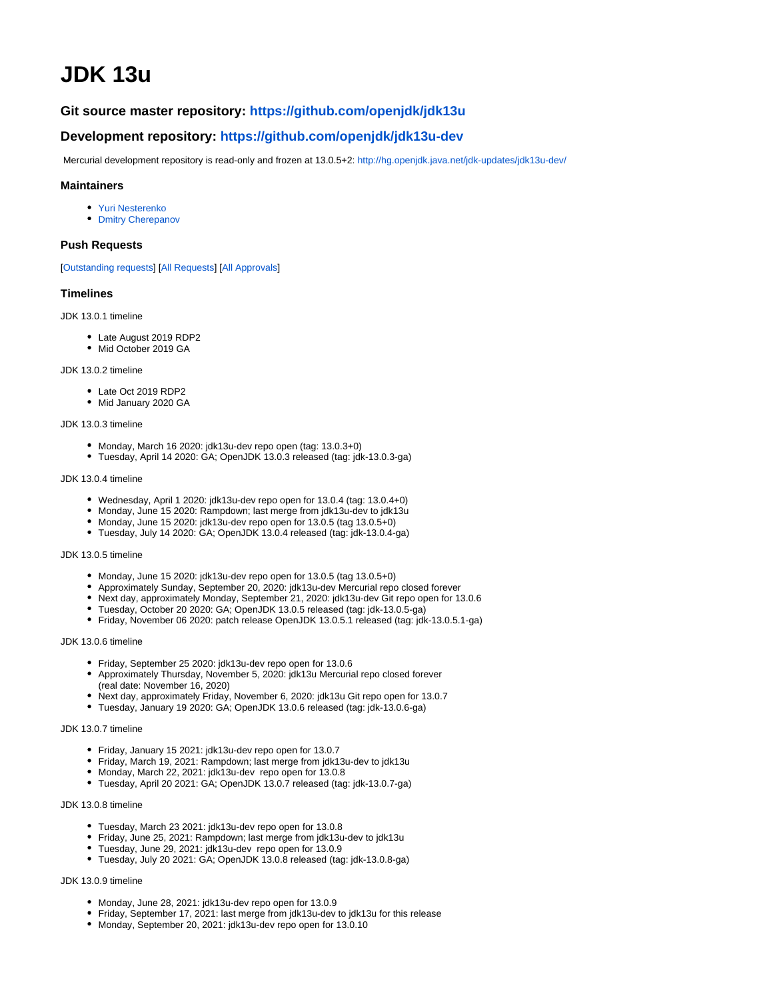# **JDK 13u**

# **Git source master repository: [https://github.com/openjdk/jdk13u](https://github.com/openjdk/jdk13u/)**

# **Development repository: <https://github.com/openjdk/jdk13u-dev>**

Mercurial development repository is read-only and frozen at 13.0.5+2:<http://hg.openjdk.java.net/jdk-updates/jdk13u-dev/>

# **Maintainers**

- [Yuri Nesterenko](http://openjdk.java.net/census#yan)
- [Dmitry Cherepanov](http://openjdk.java.net/census#dcherepanov)

#### **Push Requests**

[\[Outstanding requests](https://bugs.openjdk.java.net/issues/?filter=38693)] [[All Requests\]](https://bugs.openjdk.java.net/issues/?jql=labels%20%3D%20jdk13u-fix-request) [\[All Approvals\]](https://bugs.openjdk.java.net/issues/?jql=labels%20%3D%20jdk13u-fix-yes)

#### **Timelines**

#### JDK 13.0.1 timeline

- Late August 2019 RDP2
- Mid October 2019 GA

#### JDK 13.0.2 timeline

- Late Oct 2019 RDP2
- Mid January 2020 GA

#### JDK 13.0.3 timeline

- $\bullet$  Monday, March 16 2020: jdk13u-dev repo open (tag: 13.0.3+0)
- Tuesday, April 14 2020: GA; OpenJDK 13.0.3 released (tag: jdk-13.0.3-ga)

#### JDK 13.0.4 timeline

- Wednesday, April 1 2020: jdk13u-dev repo open for 13.0.4 (tag: 13.0.4+0)
- Monday, June 15 2020: Rampdown; last merge from jdk13u-dev to jdk13u
- Monday, June 15 2020: jdk13u-dev repo open for 13.0.5 (tag 13.0.5+0)
- Tuesday, July 14 2020: GA; OpenJDK 13.0.4 released (tag: jdk-13.0.4-ga)

## JDK 13.0.5 timeline

- Monday, June 15 2020: jdk13u-dev repo open for 13.0.5 (tag 13.0.5+0)
- Approximately Sunday, September 20, 2020: jdk13u-dev Mercurial repo closed forever
- Next day, approximately Monday, September 21, 2020: jdk13u-dev Git repo open for 13.0.6
- Tuesday, October 20 2020: GA; OpenJDK 13.0.5 released (tag: jdk-13.0.5-ga)
- Friday, November 06 2020: patch release OpenJDK 13.0.5.1 released (tag: jdk-13.0.5.1-ga)

### JDK 13.0.6 timeline

- Friday, September 25 2020: jdk13u-dev repo open for 13.0.6
- Approximately Thursday, November 5, 2020: jdk13u Mercurial repo closed forever (real date: November 16, 2020)
- Next day, approximately Friday, November 6, 2020: jdk13u Git repo open for 13.0.7
- Tuesday, January 19 2020: GA; OpenJDK 13.0.6 released (tag: jdk-13.0.6-ga)

## JDK 13.0.7 timeline

- Friday, January 15 2021: jdk13u-dev repo open for 13.0.7
- Friday, March 19, 2021: Rampdown; last merge from jdk13u-dev to jdk13u
- Monday, March 22, 2021: jdk13u-dev repo open for 13.0.8
- Tuesday, April 20 2021: GA; OpenJDK 13.0.7 released (tag: jdk-13.0.7-ga)

#### JDK 13.0.8 timeline

- Tuesday, March 23 2021: jdk13u-dev repo open for 13.0.8
- Friday, June 25, 2021: Rampdown; last merge from jdk13u-dev to jdk13u
- Tuesday, June 29, 2021: jdk13u-dev repo open for 13.0.9
- Tuesday, July 20 2021: GA; OpenJDK 13.0.8 released (tag: jdk-13.0.8-ga)

# JDK 13.0.9 timeline

- $\bullet$  Monday, June 28, 2021: jdk13u-dev repo open for 13.0.9
- Friday, September 17, 2021: last merge from jdk13u-dev to jdk13u for this release
- Monday, September 20, 2021: jdk13u-dev repo open for 13.0.10